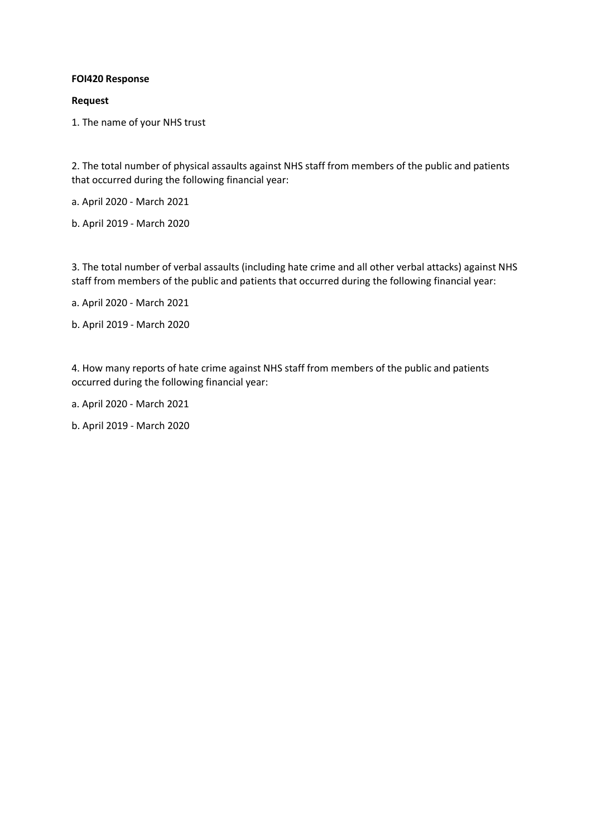## **FOI420 Response**

#### **Request**

1. The name of your NHS trust

2. The total number of physical assaults against NHS staff from members of the public and patients that occurred during the following financial year:

a. April 2020 - March 2021

b. April 2019 - March 2020

3. The total number of verbal assaults (including hate crime and all other verbal attacks) against NHS staff from members of the public and patients that occurred during the following financial year:

a. April 2020 - March 2021

b. April 2019 - March 2020

4. How many reports of hate crime against NHS staff from members of the public and patients occurred during the following financial year:

a. April 2020 - March 2021

b. April 2019 - March 2020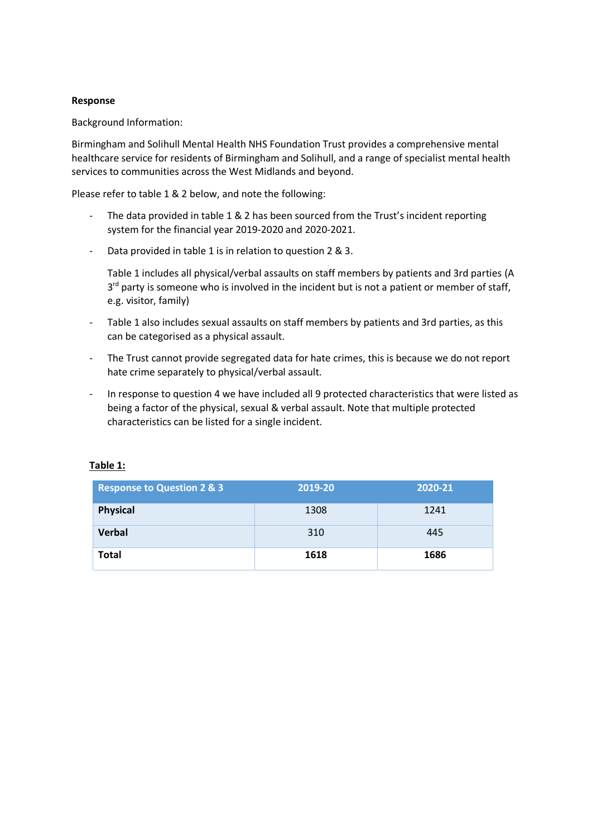## **Response**

Background Information:

Birmingham and Solihull Mental Health NHS Foundation Trust provides a comprehensive mental healthcare service for residents of Birmingham and Solihull, and a range of specialist mental health services to communities across the West Midlands and beyond.

Please refer to table 1 & 2 below, and note the following:

- The data provided in table 1 & 2 has been sourced from the Trust's incident reporting system for the financial year 2019-2020 and 2020-2021.
- Data provided in table 1 is in relation to question 2 & 3.

Table 1 includes all physical/verbal assaults on staff members by patients and 3rd parties (A 3<sup>rd</sup> party is someone who is involved in the incident but is not a patient or member of staff, e.g. visitor, family)

- Table 1 also includes sexual assaults on staff members by patients and 3rd parties, as this can be categorised as a physical assault.
- The Trust cannot provide segregated data for hate crimes, this is because we do not report hate crime separately to physical/verbal assault.
- In response to question 4 we have included all 9 protected characteristics that were listed as being a factor of the physical, sexual & verbal assault. Note that multiple protected characteristics can be listed for a single incident.

| <b>Response to Question 2 &amp; 3</b> | 2019-20 | 2020-21 |
|---------------------------------------|---------|---------|
| <b>Physical</b>                       | 1308    | 1241    |
| <b>Verbal</b>                         | 310     | 445     |
| <b>Total</b>                          | 1618    | 1686    |

#### **Table 1:**